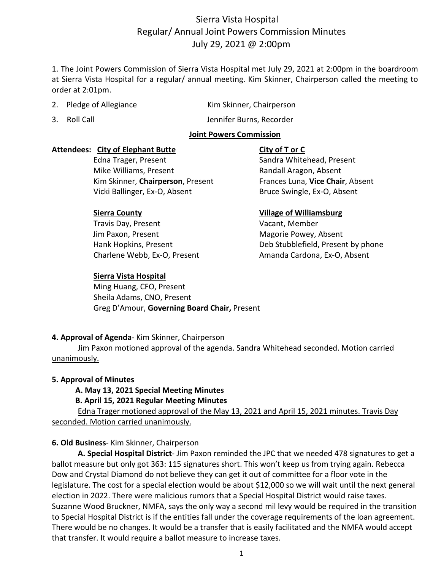# Sierra Vista Hospital Regular/ Annual Joint Powers Commission Minutes July 29, 2021 @ 2:00pm

1. The Joint Powers Commission of Sierra Vista Hospital met July 29, 2021 at 2:00pm in the boardroom at Sierra Vista Hospital for a regular/ annual meeting. Kim Skinner, Chairperson called the meeting to order at 2:01pm.

2. Pledge of Allegiance Kim Skinner, Chairperson

3. Roll Call **Secure 20 Figure 2018** Jennifer Burns, Recorder

## **Joint Powers Commission**

## **Attendees: City of Elephant Butte City of T or C**

Edna Trager, Present Sandra Whitehead, Present Mike Williams, Present **Randall Aragon, Absent**  Kim Skinner, **Chairperson**, Present Frances Luna, **Vice Chair**, Absent Vicki Ballinger, Ex-O, Absent Bruce Swingle, Ex-O, Absent

Travis Day, Present Vacant, Member Jim Paxon, Present **Magorie Powey, Absent** 

## **Sierra Vista Hospital**

 Ming Huang, CFO, Present Sheila Adams, CNO, Present Greg D'Amour, **Governing Board Chair,** Present

## **Sierra County Village of Williamsburg**

 Hank Hopkins, Present Deb Stubblefield, Present by phone Charlene Webb, Ex-O, Present **Amanda Cardona, Ex-O, Absent** 

## **4. Approval of Agenda**- Kim Skinner, Chairperson

Jim Paxon motioned approval of the agenda. Sandra Whitehead seconded. Motion carried unanimously.

## **5. Approval of Minutes**

## **A. May 13, 2021 Special Meeting Minutes**

## **B. April 15, 2021 Regular Meeting Minutes**

Edna Trager motioned approval of the May 13, 2021 and April 15, 2021 minutes. Travis Day seconded. Motion carried unanimously.

## **6. Old Business**- Kim Skinner, Chairperson

**A. Special Hospital District**- Jim Paxon reminded the JPC that we needed 478 signatures to get a ballot measure but only got 363: 115 signatures short. This won't keep us from trying again. Rebecca Dow and Crystal Diamond do not believe they can get it out of committee for a floor vote in the legislature. The cost for a special election would be about \$12,000 so we will wait until the next general election in 2022. There were malicious rumors that a Special Hospital District would raise taxes. Suzanne Wood Bruckner, NMFA, says the only way a second mil levy would be required in the transition to Special Hospital District is if the entities fall under the coverage requirements of the loan agreement. There would be no changes. It would be a transfer that is easily facilitated and the NMFA would accept that transfer. It would require a ballot measure to increase taxes.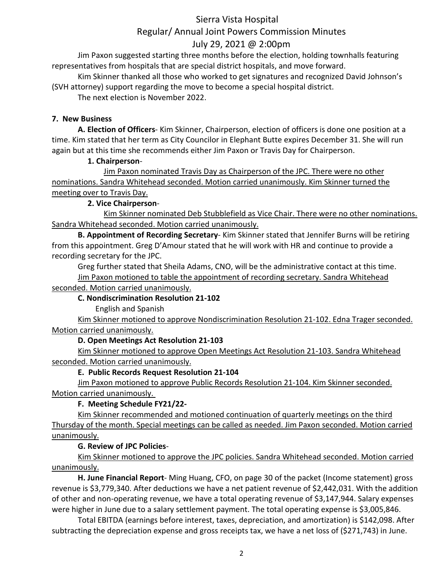# Sierra Vista Hospital Regular/ Annual Joint Powers Commission Minutes July 29, 2021 @ 2:00pm

Jim Paxon suggested starting three months before the election, holding townhalls featuring representatives from hospitals that are special district hospitals, and move forward.

Kim Skinner thanked all those who worked to get signatures and recognized David Johnson's (SVH attorney) support regarding the move to become a special hospital district.

The next election is November 2022.

## **7. New Business**

**A. Election of Officers**- Kim Skinner, Chairperson, election of officers is done one position at a time. Kim stated that her term as City Councilor in Elephant Butte expires December 31. She will run again but at this time she recommends either Jim Paxon or Travis Day for Chairperson.

## **1. Chairperson**-

Jim Paxon nominated Travis Day as Chairperson of the JPC. There were no other nominations. Sandra Whitehead seconded. Motion carried unanimously. Kim Skinner turned the meeting over to Travis Day.

## **2. Vice Chairperson**-

Kim Skinner nominated Deb Stubblefield as Vice Chair. There were no other nominations. Sandra Whitehead seconded. Motion carried unanimously.

**B. Appointment of Recording Secretary**- Kim Skinner stated that Jennifer Burns will be retiring from this appointment. Greg D'Amour stated that he will work with HR and continue to provide a recording secretary for the JPC.

Greg further stated that Sheila Adams, CNO, will be the administrative contact at this time. Jim Paxon motioned to table the appointment of recording secretary. Sandra Whitehead

#### seconded. Motion carried unanimously. **C. Nondiscrimination Resolution 21-102**

English and Spanish

Kim Skinner motioned to approve Nondiscrimination Resolution 21-102. Edna Trager seconded. Motion carried unanimously.

## **D. Open Meetings Act Resolution 21-103**

Kim Skinner motioned to approve Open Meetings Act Resolution 21-103. Sandra Whitehead seconded. Motion carried unanimously.

## **E. Public Records Request Resolution 21-104**

Jim Paxon motioned to approve Public Records Resolution 21-104. Kim Skinner seconded. Motion carried unanimously.

## **F. Meeting Schedule FY21/22-**

Kim Skinner recommended and motioned continuation of quarterly meetings on the third Thursday of the month. Special meetings can be called as needed. Jim Paxon seconded. Motion carried unanimously.

## **G. Review of JPC Policies**-

Kim Skinner motioned to approve the JPC policies. Sandra Whitehead seconded. Motion carried unanimously.

**H. June Financial Report**- Ming Huang, CFO, on page 30 of the packet (Income statement) gross revenue is \$3,779,340. After deductions we have a net patient revenue of \$2,442,031. With the addition of other and non-operating revenue, we have a total operating revenue of \$3,147,944. Salary expenses were higher in June due to a salary settlement payment. The total operating expense is \$3,005,846.

Total EBITDA (earnings before interest, taxes, depreciation, and amortization) is \$142,098. After subtracting the depreciation expense and gross receipts tax, we have a net loss of (\$271,743) in June.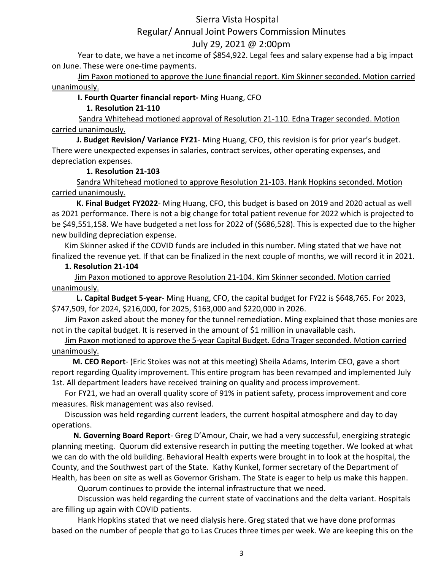## Sierra Vista Hospital

## Regular/ Annual Joint Powers Commission Minutes

## July 29, 2021 @ 2:00pm

Year to date, we have a net income of \$854,922. Legal fees and salary expense had a big impact on June. These were one-time payments.

Jim Paxon motioned to approve the June financial report. Kim Skinner seconded. Motion carried unanimously.

### **I. Fourth Quarter financial report-** Ming Huang, CFO

## **1. Resolution 21-110**

 Sandra Whitehead motioned approval of Resolution 21-110. Edna Trager seconded. Motion carried unanimously.

 **J. Budget Revision/ Variance FY21**- Ming Huang, CFO, this revision is for prior year's budget. There were unexpected expenses in salaries, contract services, other operating expenses, and depreciation expenses.

### **1. Resolution 21-103**

 Sandra Whitehead motioned to approve Resolution 21-103. Hank Hopkins seconded. Motion carried unanimously.

 **K. Final Budget FY2022**- Ming Huang, CFO, this budget is based on 2019 and 2020 actual as well as 2021 performance. There is not a big change for total patient revenue for 2022 which is projected to be \$49,551,158. We have budgeted a net loss for 2022 of (\$686,528). This is expected due to the higher new building depreciation expense.

Kim Skinner asked if the COVID funds are included in this number. Ming stated that we have not finalized the revenue yet. If that can be finalized in the next couple of months, we will record it in 2021.

## **1. Resolution 21-104**

 Jim Paxon motioned to approve Resolution 21-104. Kim Skinner seconded. Motion carried unanimously.

 **L. Capital Budget 5-year**- Ming Huang, CFO, the capital budget for FY22 is \$648,765. For 2023, \$747,509, for 2024, \$216,000, for 2025, \$163,000 and \$220,000 in 2026.

Jim Paxon asked about the money for the tunnel remediation. Ming explained that those monies are not in the capital budget. It is reserved in the amount of \$1 million in unavailable cash.

Jim Paxon motioned to approve the 5-year Capital Budget. Edna Trager seconded. Motion carried unanimously.

 **M. CEO Report**- (Eric Stokes was not at this meeting) Sheila Adams, Interim CEO, gave a short report regarding Quality improvement. This entire program has been revamped and implemented July 1st. All department leaders have received training on quality and process improvement.

For FY21, we had an overall quality score of 91% in patient safety, process improvement and core measures. Risk management was also revised.

Discussion was held regarding current leaders, the current hospital atmosphere and day to day operations.

 **N. Governing Board Report**- Greg D'Amour, Chair, we had a very successful, energizing strategic planning meeting. Quorum did extensive research in putting the meeting together. We looked at what we can do with the old building. Behavioral Health experts were brought in to look at the hospital, the County, and the Southwest part of the State. Kathy Kunkel, former secretary of the Department of Health, has been on site as well as Governor Grisham. The State is eager to help us make this happen.

Quorum continues to provide the internal infrastructure that we need.

Discussion was held regarding the current state of vaccinations and the delta variant. Hospitals are filling up again with COVID patients.

Hank Hopkins stated that we need dialysis here. Greg stated that we have done proformas based on the number of people that go to Las Cruces three times per week. We are keeping this on the